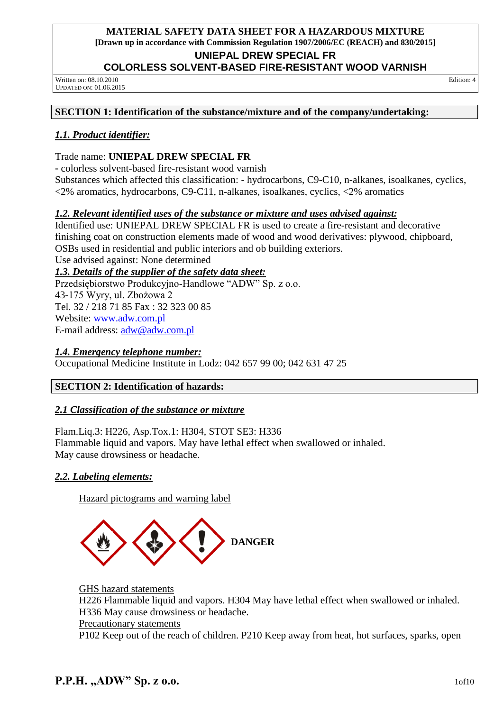**UNIEPAL DREW SPECIAL FR** 

### **COLORLESS SOLVENT-BASED FIRE-RESISTANT WOOD VARNISH**

Written on: 08.10.2010 UPDATED ON: 01.06.2015 Edition: 4

## **SECTION 1: Identification of the substance/mixture and of the company/undertaking:**

## *1.1. Product identifier:*

Trade name: **UNIEPAL DREW SPECIAL FR** 

colorless solvent-based fire-resistant wood varnish

Substances which affected this classification: - hydrocarbons, C9-C10, n-alkanes, isoalkanes, cyclics, <2% aromatics, hydrocarbons, C9-C11, n-alkanes, isoalkanes, cyclics, <2% aromatics

## *1.2. Relevant identified uses of the substance or mixture and uses advised against:*

Identified use: UNIEPAL DREW SPECIAL FR is used to create a fire-resistant and decorative finishing coat on construction elements made of wood and wood derivatives: plywood, chipboard, OSBs used in residential and public interiors and ob building exteriors.

Use advised against: None determined

## *1.3. Details of the supplier of the safety data sheet:*

Przedsiębiorstwo Produkcyjno-Handlowe "ADW" Sp. z o.o. 43-175 Wyry, ul. Zbożowa 2 Tel. 32 / 218 71 85 Fax : 32 323 00 85 Website: [www.adw.com.pl](http://www.adw.com.pl/) E-mail address: [adw@adw.com.pl](mailto:adw@adw.com.pl)

## *1.4. Emergency telephone number:*

Occupational Medicine Institute in Lodz: 042 657 99 00; 042 631 47 25

## **SECTION 2: Identification of hazards:**

## *2.1 Classification of the substance or mixture*

Flam.Liq.3: H226, Asp.Tox.1: H304, STOT SE3: H336 Flammable liquid and vapors. May have lethal effect when swallowed or inhaled. May cause drowsiness or headache.

## *2.2. Labeling elements:*

Hazard pictograms and warning label



GHS hazard statements H226 Flammable liquid and vapors. H304 May have lethal effect when swallowed or inhaled. H336 May cause drowsiness or headache. Precautionary statements P102 Keep out of the reach of children. P210 Keep away from heat, hot surfaces, sparks, open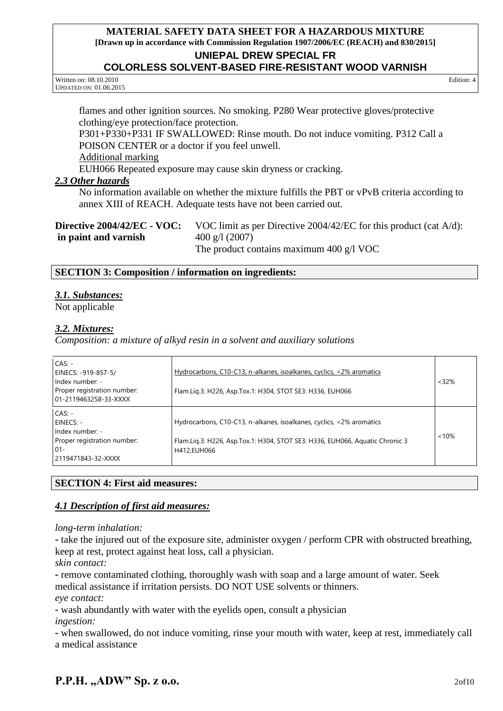### **UNIEPAL DREW SPECIAL FR**

### **COLORLESS SOLVENT-BASED FIRE-RESISTANT WOOD VARNISH**

Written on: 08.10.2010 UPDATED ON: 01.06.2015

Edition: 4

flames and other ignition sources. No smoking. P280 Wear protective gloves/protective clothing/eye protection/face protection.

P301+P330+P331 IF SWALLOWED: Rinse mouth. Do not induce vomiting. P312 Call a POISON CENTER or a doctor if you feel unwell.

Additional marking

EUH066 Repeated exposure may cause skin dryness or cracking.

#### *2.3 Other hazards*

No information available on whether the mixture fulfills the PBT or vPvB criteria according to annex XIII of REACH. Adequate tests have not been carried out.

| <b>Directive 2004/42/EC - VOC:</b> | VOC limit as per Directive $2004/42$ /EC for this product (cat A/d): |
|------------------------------------|----------------------------------------------------------------------|
| in paint and varnish               | $400 \text{ g}/1 (2007)$                                             |
|                                    | The product contains maximum 400 $g/l$ VOC                           |

#### **SECTION 3: Composition / information on ingredients:**

#### *3.1. Substances:*

Not applicable

#### *3.2. Mixtures:*

*Composition: a mixture of alkyd resin in a solvent and auxiliary solutions*

| $CAS: -$<br>EINECS: -919-857-5/<br>Index number: -<br>Proper registration number:<br>01-2119463258-33-XXXX | Hydrocarbons, C10-C13, n-alkanes, isoalkanes, cyclics, <2% aromatics<br>Flam.Lig.3: H226, Asp.Tox.1: H304, STOT SE3: H336, EUH066                                   | < 32%    |
|------------------------------------------------------------------------------------------------------------|---------------------------------------------------------------------------------------------------------------------------------------------------------------------|----------|
| $CAS: -$<br>EINECS: -<br>Index number: -<br>Proper registration number:<br>$01 -$<br>2119471843-32-XXXX    | Hydrocarbons, C10-C13, n-alkanes, isoalkanes, cyclics, <2% aromatics<br>Flam.Liq.3: H226, Asp.Tox.1: H304, STOT SE3: H336, EUH066, Aquatic Chronic 3<br>H412,EUH066 | $< 10\%$ |

### **SECTION 4: First aid measures:**

### *4.1 Description of first aid measures:*

*long-term inhalation:*

 take the injured out of the exposure site, administer oxygen / perform CPR with obstructed breathing, keep at rest, protect against heat loss, call a physician.

*skin contact:*

- remove contaminated clothing, thoroughly wash with soap and a large amount of water. Seek medical assistance if irritation persists. DO NOT USE solvents or thinners.

*eye contact:*

wash abundantly with water with the eyelids open, consult a physician

*ingestion:*

 when swallowed, do not induce vomiting, rinse your mouth with water, keep at rest, immediately call a medical assistance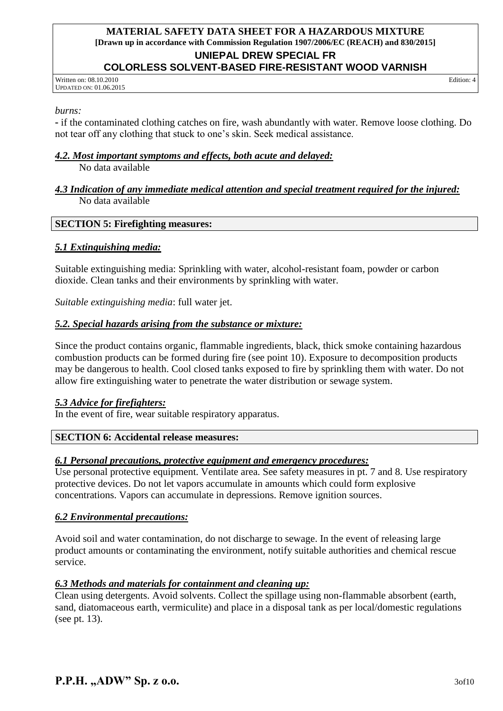#### **UNIEPAL DREW SPECIAL FR COLORLESS SOLVENT-BASED FIRE-RESISTANT WOOD VARNISH**

Written on: 08.10.2010 UPDATED ON: 01.06.2015 Edition: 4

*burns:*

 if the contaminated clothing catches on fire, wash abundantly with water. Remove loose clothing. Do not tear off any clothing that stuck to one's skin. Seek medical assistance.

### *4.2. Most important symptoms and effects, both acute and delayed:*

No data available

#### *4.3 Indication of any immediate medical attention and special treatment required for the injured:* No data available

### **SECTION 5: Firefighting measures:**

### *5.1 Extinguishing media:*

Suitable extinguishing media: Sprinkling with water, alcohol-resistant foam, powder or carbon dioxide. Clean tanks and their environments by sprinkling with water.

*Suitable extinguishing media*: full water jet.

### *5.2. Special hazards arising from the substance or mixture:*

Since the product contains organic, flammable ingredients, black, thick smoke containing hazardous combustion products can be formed during fire (see point 10). Exposure to decomposition products may be dangerous to health. Cool closed tanks exposed to fire by sprinkling them with water. Do not allow fire extinguishing water to penetrate the water distribution or sewage system.

### *5.3 Advice for firefighters:*

In the event of fire, wear suitable respiratory apparatus.

### **SECTION 6: Accidental release measures:**

### *6.1 Personal precautions, protective equipment and emergency procedures:*

Use personal protective equipment. Ventilate area. See safety measures in pt. 7 and 8. Use respiratory protective devices. Do not let vapors accumulate in amounts which could form explosive concentrations. Vapors can accumulate in depressions. Remove ignition sources.

### *6.2 Environmental precautions:*

Avoid soil and water contamination, do not discharge to sewage. In the event of releasing large product amounts or contaminating the environment, notify suitable authorities and chemical rescue service.

### *6.3 Methods and materials for containment and cleaning up:*

Clean using detergents. Avoid solvents. Collect the spillage using non-flammable absorbent (earth, sand, diatomaceous earth, vermiculite) and place in a disposal tank as per local/domestic regulations (see pt. 13).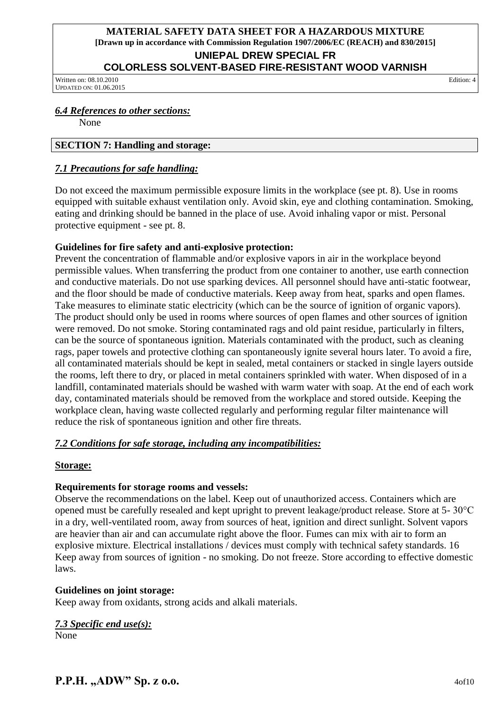## **UNIEPAL DREW SPECIAL FR**

## **COLORLESS SOLVENT-BASED FIRE-RESISTANT WOOD VARNISH**

Written on: 08.10.2010 UPDATED ON: 01.06.2015

Edition: 4

## *6.4 References to other sections:*

None

## **SECTION 7: Handling and storage:**

## *7.1 Precautions for safe handling:*

Do not exceed the maximum permissible exposure limits in the workplace (see pt. 8). Use in rooms equipped with suitable exhaust ventilation only. Avoid skin, eye and clothing contamination. Smoking, eating and drinking should be banned in the place of use. Avoid inhaling vapor or mist. Personal protective equipment - see pt. 8.

## **Guidelines for fire safety and anti-explosive protection:**

Prevent the concentration of flammable and/or explosive vapors in air in the workplace beyond permissible values. When transferring the product from one container to another, use earth connection and conductive materials. Do not use sparking devices. All personnel should have anti-static footwear, and the floor should be made of conductive materials. Keep away from heat, sparks and open flames. Take measures to eliminate static electricity (which can be the source of ignition of organic vapors). The product should only be used in rooms where sources of open flames and other sources of ignition were removed. Do not smoke. Storing contaminated rags and old paint residue, particularly in filters, can be the source of spontaneous ignition. Materials contaminated with the product, such as cleaning rags, paper towels and protective clothing can spontaneously ignite several hours later. To avoid a fire, all contaminated materials should be kept in sealed, metal containers or stacked in single layers outside the rooms, left there to dry, or placed in metal containers sprinkled with water. When disposed of in a landfill, contaminated materials should be washed with warm water with soap. At the end of each work day, contaminated materials should be removed from the workplace and stored outside. Keeping the workplace clean, having waste collected regularly and performing regular filter maintenance will reduce the risk of spontaneous ignition and other fire threats.

## *7.2 Conditions for safe storage, including any incompatibilities:*

## **Storage:**

## **Requirements for storage rooms and vessels:**

Observe the recommendations on the label. Keep out of unauthorized access. Containers which are opened must be carefully resealed and kept upright to prevent leakage/product release. Store at 5- 30°C in a dry, well-ventilated room, away from sources of heat, ignition and direct sunlight. Solvent vapors are heavier than air and can accumulate right above the floor. Fumes can mix with air to form an explosive mixture. Electrical installations / devices must comply with technical safety standards. 16 Keep away from sources of ignition - no smoking. Do not freeze. Store according to effective domestic laws.

## **Guidelines on joint storage:**

Keep away from oxidants, strong acids and alkali materials.

# *7.3 Specific end use(s):*

None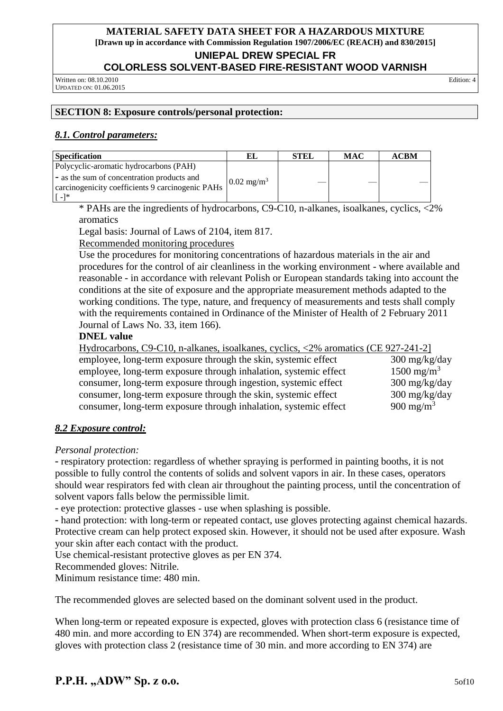**UNIEPAL DREW SPECIAL FR** 

### **COLORLESS SOLVENT-BASED FIRE-RESISTANT WOOD VARNISH**

Written on: 08.10.2010 UPDATED ON: 01.06.2015 Edition: 4

## **SECTION 8: Exposure controls/personal protection:**

## *8.1. Control parameters:*

| <b>Specification</b>                                                                                                                                                                                                                                                                                                                                                                                                                           | EL                    | <b>STEL</b> | <b>MAC</b> | <b>ACBM</b> |
|------------------------------------------------------------------------------------------------------------------------------------------------------------------------------------------------------------------------------------------------------------------------------------------------------------------------------------------------------------------------------------------------------------------------------------------------|-----------------------|-------------|------------|-------------|
| Polycyclic-aromatic hydrocarbons (PAH)                                                                                                                                                                                                                                                                                                                                                                                                         |                       |             |            |             |
| - as the sum of concentration products and<br>carcinogenicity coefficients 9 carcinogenic PAHs<br>$\lceil$ $\lceil$ $\lceil$ $\lceil$ $\lceil$ $\lceil$ $\lceil$ $\lceil$ $\lceil$ $\lceil$ $\lceil$ $\lceil$ $\lceil$ $\lceil$ $\lceil$ $\lceil$ $\lceil$ $\lceil$ $\lceil$ $\lceil$ $\lceil$ $\lceil$ $\lceil$ $\lceil$ $\lceil$ $\lceil$ $\lceil$ $\lceil$ $\lceil$ $\lceil$ $\lceil$ $\lceil$ $\lceil$ $\lceil$ $\lceil$ $\lceil$ $\lceil$ | $0.02 \text{ mg/m}^3$ |             |            |             |

\* PAHs are the ingredients of hydrocarbons, C9-C10, n-alkanes, isoalkanes, cyclics, <2% aromatics

Legal basis: Journal of Laws of 2104, item 817.

Recommended monitoring procedures

Use the procedures for monitoring concentrations of hazardous materials in the air and procedures for the control of air cleanliness in the working environment - where available and reasonable - in accordance with relevant Polish or European standards taking into account the conditions at the site of exposure and the appropriate measurement methods adapted to the working conditions. The type, nature, and frequency of measurements and tests shall comply with the requirements contained in Ordinance of the Minister of Health of 2 February 2011 Journal of Laws No. 33, item 166).

#### **DNEL value**

| Hydrocarbons, C9-C10, n-alkanes, isoalkanes, cyclics, <2% aromatics (CE 927-241-2] |                                   |
|------------------------------------------------------------------------------------|-----------------------------------|
| employee, long-term exposure through the skin, systemic effect                     | $300 \frac{\text{mg}}{\text{kg}}$ |
| employee, long-term exposure through inhalation, systemic effect                   | $1500 \text{ mg/m}^3$             |
| consumer, long-term exposure through ingestion, systemic effect                    | $300 \frac{\text{mg}}{\text{kg}}$ |
| consumer, long-term exposure through the skin, systemic effect                     | $300 \frac{\text{mg}}{\text{kg}}$ |
| consumer, long-term exposure through inhalation, systemic effect                   | 900 mg/m <sup>3</sup>             |

### *8.2 Exposure control:*

*Personal protection:*

 respiratory protection: regardless of whether spraying is performed in painting booths, it is not possible to fully control the contents of solids and solvent vapors in air. In these cases, operators should wear respirators fed with clean air throughout the painting process, until the concentration of solvent vapors falls below the permissible limit.

eye protection: protective glasses - use when splashing is possible.

 hand protection: with long-term or repeated contact, use gloves protecting against chemical hazards. Protective cream can help protect exposed skin. However, it should not be used after exposure. Wash your skin after each contact with the product.

Use chemical-resistant protective gloves as per EN 374.

Recommended gloves: Nitrile.

Minimum resistance time: 480 min.

The recommended gloves are selected based on the dominant solvent used in the product.

When long-term or repeated exposure is expected, gloves with protection class 6 (resistance time of 480 min. and more according to EN 374) are recommended. When short-term exposure is expected, gloves with protection class 2 (resistance time of 30 min. and more according to EN 374) are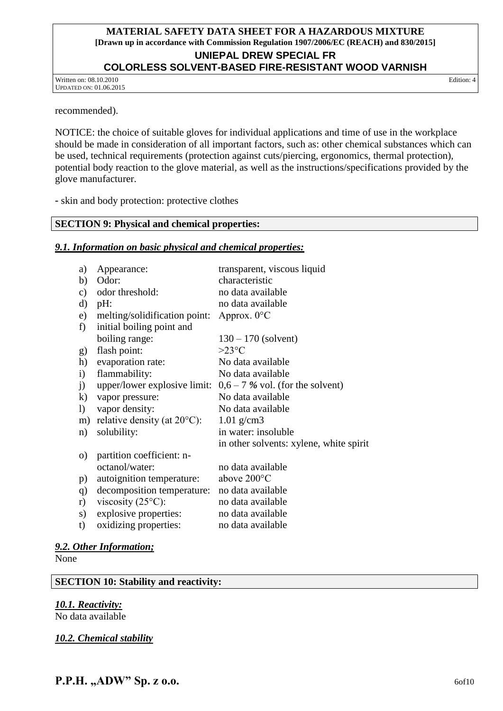#### **UNIEPAL DREW SPECIAL FR COLORLESS SOLVENT-BASED FIRE-RESISTANT WOOD VARNISH**

Written on: 08.10.2010 UPDATED ON: 01.06.2015 Edition: 4

recommended).

NOTICE: the choice of suitable gloves for individual applications and time of use in the workplace should be made in consideration of all important factors, such as: other chemical substances which can be used, technical requirements (protection against cuts/piercing, ergonomics, thermal protection), potential body reaction to the glove material, as well as the instructions/specifications provided by the glove manufacturer.

skin and body protection: protective clothes

#### **SECTION 9: Physical and chemical properties:**

#### *9.1. Information on basic physical and chemical properties:*

| a)           | Appearance:                           | transparent, viscous liquid             |
|--------------|---------------------------------------|-----------------------------------------|
| b)           | Odor:                                 | characteristic                          |
| c)           | odor threshold:                       | no data available                       |
| d)           | $pH$ :                                | no data available                       |
| e)           | melting/solidification point:         | Approx. $0^{\circ}$ C                   |
| f)           | initial boiling point and             |                                         |
|              | boiling range:                        | $130 - 170$ (solvent)                   |
| g)           | flash point:                          | $>23^{\circ}C$                          |
| h)           | evaporation rate:                     | No data available                       |
| $\mathbf{i}$ | flammability:                         | No data available                       |
| j)           | upper/lower explosive limit:          | $0,6 - 7$ % vol. (for the solvent)      |
| $\bf k)$     | vapor pressure:                       | No data available                       |
| $\mathbf{I}$ | vapor density:                        | No data available                       |
| m)           | relative density (at $20^{\circ}$ C): | $1.01$ g/cm3                            |
| n)           | solubility:                           | in water: insoluble                     |
|              |                                       | in other solvents: xylene, white spirit |
| $\circ$ )    | partition coefficient: n-             |                                         |
|              | octanol/water:                        | no data available                       |
| p)           | autoignition temperature:             | above 200°C                             |
| q)           | decomposition temperature:            | no data available                       |
| r)           | viscosity $(25^{\circ}C)$ :           | no data available                       |
| s)           | explosive properties:                 | no data available                       |
| t)           | oxidizing properties:                 | no data available                       |
|              |                                       |                                         |

#### *9.2. Other Information;*

None

**SECTION 10: Stability and reactivity:**

*10.1. Reactivity:*

No data available

*10.2. Chemical stability*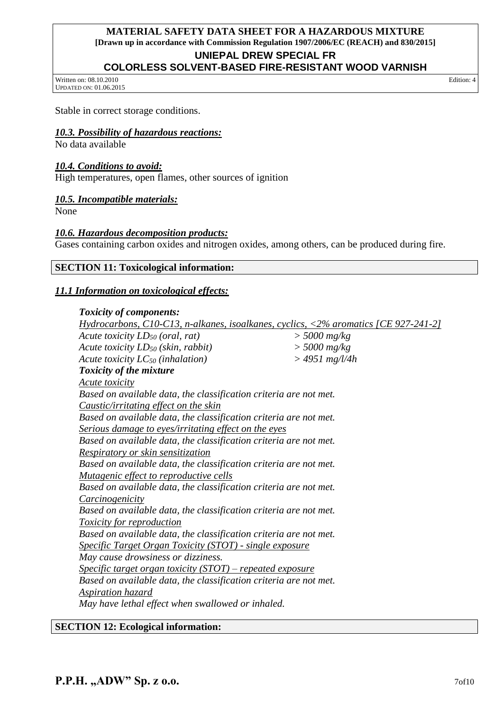#### **UNIEPAL DREW SPECIAL FR**

## **COLORLESS SOLVENT-BASED FIRE-RESISTANT WOOD VARNISH**

Written on: 08.10.2010 UPDATED ON: 01.06.2015 Edition: 4

Stable in correct storage conditions.

#### *10.3. Possibility of hazardous reactions:*

No data available

#### *10.4. Conditions to avoid:*

High temperatures, open flames, other sources of ignition

#### *10.5. Incompatible materials:*

None

#### *10.6. Hazardous decomposition products:*

Gases containing carbon oxides and nitrogen oxides, among others, can be produced during fire.

#### **SECTION 11: Toxicological information:**

#### *11.1 Information on toxicological effects:*

#### *Toxicity of components:*

| Acute toxicity $LD_{50}$ (oral, rat)<br>$>$ 5000 mg/kg<br>$>$ 5000 mg/kg<br>Acute toxicity $LD_{50}$ (skin, rabbit)<br>$> 4951$ mg/l/4h<br>Acute toxicity $LC_{50}$ (inhalation)<br><b>Toxicity of the mixture</b><br><b>Acute toxicity</b><br>Based on available data, the classification criteria are not met.<br><i>Caustic/irritating effect on the skin</i><br>Based on available data, the classification criteria are not met.<br>Serious damage to eyes/irritating effect on the eyes<br>Based on available data, the classification criteria are not met.<br>Respiratory or skin sensitization<br>Based on available data, the classification criteria are not met.<br>Mutagenic effect to reproductive cells<br>Based on available data, the classification criteria are not met.<br><i>Carcinogenicity</i><br>Based on available data, the classification criteria are not met.<br><b>Toxicity for reproduction</b><br>Based on available data, the classification criteria are not met.<br><b>Specific Target Organ Toxicity (STOT) - single exposure</b><br>May cause drowsiness or dizziness.<br><u> Specific target organ toxicity (STOT) – repeated exposure</u><br>Based on available data, the classification criteria are not met.<br><b>Aspiration hazard</b><br>May have lethal effect when swallowed or inhaled. | <u>Hydrocarbons, C10-C13, n-alkanes, isoalkanes, cyclics, &lt;2% aromatics [CE 927-241-2]</u> |  |
|----------------------------------------------------------------------------------------------------------------------------------------------------------------------------------------------------------------------------------------------------------------------------------------------------------------------------------------------------------------------------------------------------------------------------------------------------------------------------------------------------------------------------------------------------------------------------------------------------------------------------------------------------------------------------------------------------------------------------------------------------------------------------------------------------------------------------------------------------------------------------------------------------------------------------------------------------------------------------------------------------------------------------------------------------------------------------------------------------------------------------------------------------------------------------------------------------------------------------------------------------------------------------------------------------------------------------------------|-----------------------------------------------------------------------------------------------|--|
|                                                                                                                                                                                                                                                                                                                                                                                                                                                                                                                                                                                                                                                                                                                                                                                                                                                                                                                                                                                                                                                                                                                                                                                                                                                                                                                                        |                                                                                               |  |
|                                                                                                                                                                                                                                                                                                                                                                                                                                                                                                                                                                                                                                                                                                                                                                                                                                                                                                                                                                                                                                                                                                                                                                                                                                                                                                                                        |                                                                                               |  |
|                                                                                                                                                                                                                                                                                                                                                                                                                                                                                                                                                                                                                                                                                                                                                                                                                                                                                                                                                                                                                                                                                                                                                                                                                                                                                                                                        |                                                                                               |  |
|                                                                                                                                                                                                                                                                                                                                                                                                                                                                                                                                                                                                                                                                                                                                                                                                                                                                                                                                                                                                                                                                                                                                                                                                                                                                                                                                        |                                                                                               |  |
|                                                                                                                                                                                                                                                                                                                                                                                                                                                                                                                                                                                                                                                                                                                                                                                                                                                                                                                                                                                                                                                                                                                                                                                                                                                                                                                                        |                                                                                               |  |
|                                                                                                                                                                                                                                                                                                                                                                                                                                                                                                                                                                                                                                                                                                                                                                                                                                                                                                                                                                                                                                                                                                                                                                                                                                                                                                                                        |                                                                                               |  |
|                                                                                                                                                                                                                                                                                                                                                                                                                                                                                                                                                                                                                                                                                                                                                                                                                                                                                                                                                                                                                                                                                                                                                                                                                                                                                                                                        |                                                                                               |  |
|                                                                                                                                                                                                                                                                                                                                                                                                                                                                                                                                                                                                                                                                                                                                                                                                                                                                                                                                                                                                                                                                                                                                                                                                                                                                                                                                        |                                                                                               |  |
|                                                                                                                                                                                                                                                                                                                                                                                                                                                                                                                                                                                                                                                                                                                                                                                                                                                                                                                                                                                                                                                                                                                                                                                                                                                                                                                                        |                                                                                               |  |
|                                                                                                                                                                                                                                                                                                                                                                                                                                                                                                                                                                                                                                                                                                                                                                                                                                                                                                                                                                                                                                                                                                                                                                                                                                                                                                                                        |                                                                                               |  |
|                                                                                                                                                                                                                                                                                                                                                                                                                                                                                                                                                                                                                                                                                                                                                                                                                                                                                                                                                                                                                                                                                                                                                                                                                                                                                                                                        |                                                                                               |  |
|                                                                                                                                                                                                                                                                                                                                                                                                                                                                                                                                                                                                                                                                                                                                                                                                                                                                                                                                                                                                                                                                                                                                                                                                                                                                                                                                        |                                                                                               |  |
|                                                                                                                                                                                                                                                                                                                                                                                                                                                                                                                                                                                                                                                                                                                                                                                                                                                                                                                                                                                                                                                                                                                                                                                                                                                                                                                                        |                                                                                               |  |
|                                                                                                                                                                                                                                                                                                                                                                                                                                                                                                                                                                                                                                                                                                                                                                                                                                                                                                                                                                                                                                                                                                                                                                                                                                                                                                                                        |                                                                                               |  |
|                                                                                                                                                                                                                                                                                                                                                                                                                                                                                                                                                                                                                                                                                                                                                                                                                                                                                                                                                                                                                                                                                                                                                                                                                                                                                                                                        |                                                                                               |  |
|                                                                                                                                                                                                                                                                                                                                                                                                                                                                                                                                                                                                                                                                                                                                                                                                                                                                                                                                                                                                                                                                                                                                                                                                                                                                                                                                        |                                                                                               |  |
|                                                                                                                                                                                                                                                                                                                                                                                                                                                                                                                                                                                                                                                                                                                                                                                                                                                                                                                                                                                                                                                                                                                                                                                                                                                                                                                                        |                                                                                               |  |
|                                                                                                                                                                                                                                                                                                                                                                                                                                                                                                                                                                                                                                                                                                                                                                                                                                                                                                                                                                                                                                                                                                                                                                                                                                                                                                                                        |                                                                                               |  |
|                                                                                                                                                                                                                                                                                                                                                                                                                                                                                                                                                                                                                                                                                                                                                                                                                                                                                                                                                                                                                                                                                                                                                                                                                                                                                                                                        |                                                                                               |  |
|                                                                                                                                                                                                                                                                                                                                                                                                                                                                                                                                                                                                                                                                                                                                                                                                                                                                                                                                                                                                                                                                                                                                                                                                                                                                                                                                        |                                                                                               |  |
|                                                                                                                                                                                                                                                                                                                                                                                                                                                                                                                                                                                                                                                                                                                                                                                                                                                                                                                                                                                                                                                                                                                                                                                                                                                                                                                                        |                                                                                               |  |
|                                                                                                                                                                                                                                                                                                                                                                                                                                                                                                                                                                                                                                                                                                                                                                                                                                                                                                                                                                                                                                                                                                                                                                                                                                                                                                                                        |                                                                                               |  |
|                                                                                                                                                                                                                                                                                                                                                                                                                                                                                                                                                                                                                                                                                                                                                                                                                                                                                                                                                                                                                                                                                                                                                                                                                                                                                                                                        |                                                                                               |  |
|                                                                                                                                                                                                                                                                                                                                                                                                                                                                                                                                                                                                                                                                                                                                                                                                                                                                                                                                                                                                                                                                                                                                                                                                                                                                                                                                        |                                                                                               |  |

#### **SECTION 12: Ecological information:**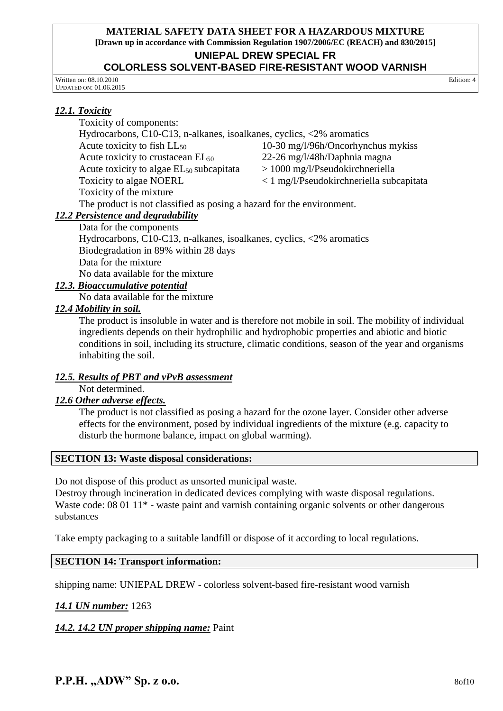#### **UNIEPAL DREW SPECIAL FR**

#### **COLORLESS SOLVENT-BASED FIRE-RESISTANT WOOD VARNISH**

Written on: 08.10.2010 UPDATED ON: 01.06.2015

#### *12.1. Toxicity*

Toxicity of components:

Hydrocarbons, C10-C13, n-alkanes, isoalkanes, cyclics, <2% aromatics Acute toxicity to fish LL<sub>50</sub> 10-30 mg/l/96h/Oncorhynchus mykiss

Acute toxicity to crustacean  $EL_{50}$  22-26 mg/l/48h/Daphnia magna<br>Acute toxicity to algae  $EL_{50}$  subcapitata > 1000 mg/l/Pseudokirchneriella Acute toxicity to algae  $EL_{50}$  subcapitata

Toxicity to algae NOERL < 1 mg/l/Pseudokirchneriella subcapitata

Toxicity of the mixture

The product is not classified as posing a hazard for the environment.

## *12.2 Persistence and degradability*

Data for the components

Hydrocarbons, C10-C13, n-alkanes, isoalkanes, cyclics, <2% aromatics Biodegradation in 89% within 28 days Data for the mixture No data available for the mixture

## *12.3. Bioaccumulative potential*

No data available for the mixture

### *12.4 Mobility in soil.*

The product is insoluble in water and is therefore not mobile in soil. The mobility of individual ingredients depends on their hydrophilic and hydrophobic properties and abiotic and biotic conditions in soil, including its structure, climatic conditions, season of the year and organisms inhabiting the soil.

### *12.5. Results of PBT and vPvB assessment*

Not determined.

### *12.6 Other adverse effects.*

The product is not classified as posing a hazard for the ozone layer. Consider other adverse effects for the environment, posed by individual ingredients of the mixture (e.g. capacity to disturb the hormone balance, impact on global warming).

#### **SECTION 13: Waste disposal considerations:**

Do not dispose of this product as unsorted municipal waste.

Destroy through incineration in dedicated devices complying with waste disposal regulations. Waste code: 08 01 11<sup>\*</sup> - waste paint and varnish containing organic solvents or other dangerous substances

Take empty packaging to a suitable landfill or dispose of it according to local regulations.

### **SECTION 14: Transport information:**

shipping name: UNIEPAL DREW - colorless solvent-based fire-resistant wood varnish

### *14.1 UN number:* 1263

*14.2. 14.2 UN proper shipping name:* Paint

**P.P.H.** .., ADW" Sp. z o.o. 80f10

Edition: 4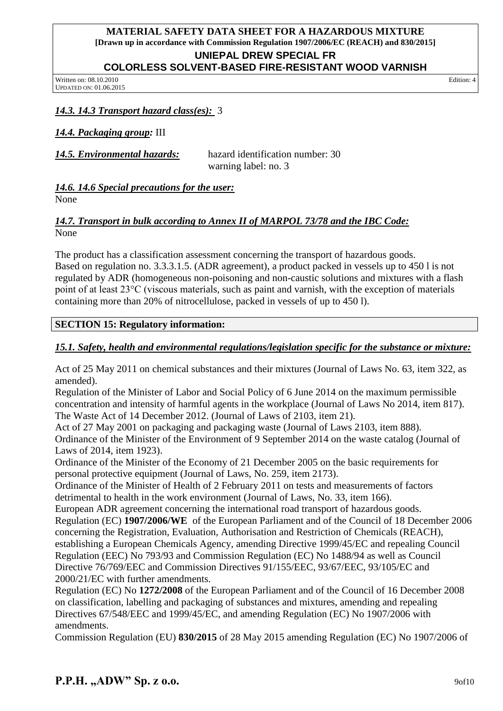## **UNIEPAL DREW SPECIAL FR**

## **COLORLESS SOLVENT-BASED FIRE-RESISTANT WOOD VARNISH**

Written on: 08.10.2010 UPDATED ON: 01.06.2015 Edition: 4

## *14.3. 14.3 Transport hazard class(es):* 3

*14.4. Packaging group:* III

*14.5. Environmental hazards:* hazard identification number: 30 warning label: no. 3

*14.6. 14.6 Special precautions for the user:* None

### *14.7. Transport in bulk according to Annex II of MARPOL 73/78 and the IBC Code:* None

The product has a classification assessment concerning the transport of hazardous goods. Based on regulation no. 3.3.3.1.5. (ADR agreement), a product packed in vessels up to 450 l is not regulated by ADR (homogeneous non-poisoning and non-caustic solutions and mixtures with a flash point of at least 23°C (viscous materials, such as paint and varnish, with the exception of materials containing more than 20% of nitrocellulose, packed in vessels of up to 450 l).

## **SECTION 15: Regulatory information:**

## *15.1. Safety, health and environmental regulations/legislation specific for the substance or mixture:*

Act of 25 May 2011 on chemical substances and their mixtures (Journal of Laws No. 63, item 322, as amended).

Regulation of the Minister of Labor and Social Policy of 6 June 2014 on the maximum permissible concentration and intensity of harmful agents in the workplace (Journal of Laws No 2014, item 817). The Waste Act of 14 December 2012. (Journal of Laws of 2103, item 21).

Act of 27 May 2001 on packaging and packaging waste (Journal of Laws 2103, item 888). Ordinance of the Minister of the Environment of 9 September 2014 on the waste catalog (Journal of Laws of 2014, item 1923).

Ordinance of the Minister of the Economy of 21 December 2005 on the basic requirements for personal protective equipment (Journal of Laws, No. 259, item 2173).

Ordinance of the Minister of Health of 2 February 2011 on tests and measurements of factors detrimental to health in the work environment (Journal of Laws, No. 33, item 166).

European ADR agreement concerning the international road transport of hazardous goods. Regulation (EC) **1907/2006/WE** of the European Parliament and of the Council of 18 December 2006 concerning the Registration, Evaluation, Authorisation and Restriction of Chemicals (REACH), establishing a European Chemicals Agency, amending Directive 1999/45/EC and repealing Council Regulation (EEC) No 793/93 and Commission Regulation (EC) No 1488/94 as well as Council Directive 76/769/EEC and Commission Directives 91/155/EEC, 93/67/EEC, 93/105/EC and 2000/21/EC with further amendments.

Regulation (EC) No **1272/2008** of the European Parliament and of the Council of 16 December 2008 on classification, labelling and packaging of substances and mixtures, amending and repealing Directives 67/548/EEC and 1999/45/EC, and amending Regulation (EC) No 1907/2006 with amendments.

Commission Regulation (EU) **830/2015** of 28 May 2015 amending Regulation (EC) No 1907/2006 of